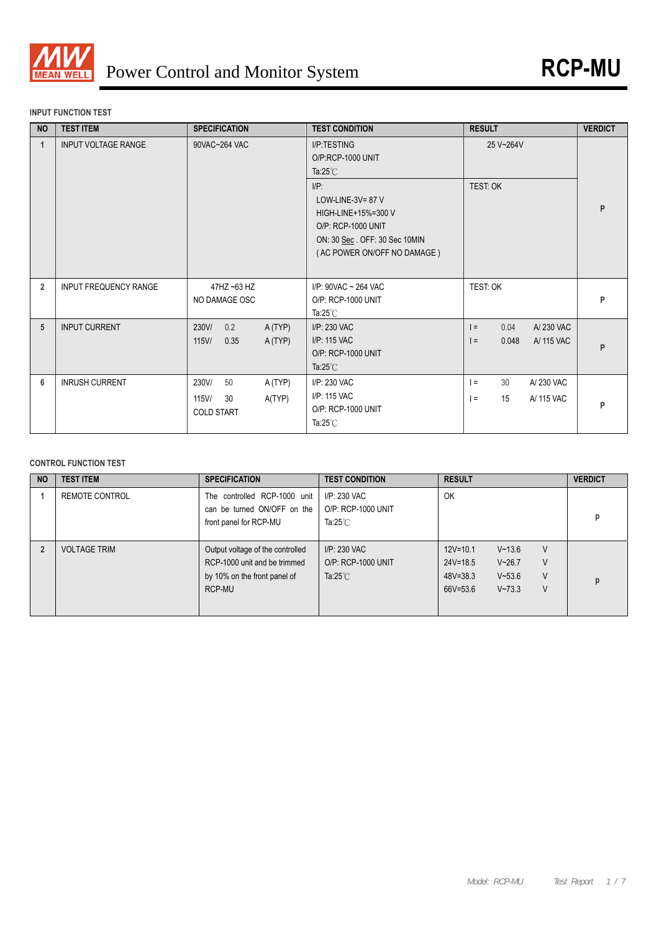

### **INPUT FUNCTION TEST**

| <b>NO</b>      | <b>TEST ITEM</b>             | <b>SPECIFICATION</b>    | <b>TEST CONDITION</b>                                                                                                                       | <b>RESULT</b>              | <b>VERDICT</b> |
|----------------|------------------------------|-------------------------|---------------------------------------------------------------------------------------------------------------------------------------------|----------------------------|----------------|
| 1              | <b>INPUT VOLTAGE RANGE</b>   | 90VAC~264 VAC           | I/P:TESTING<br>O/P:RCP-1000 UNIT<br>Ta: $25^{\circ}$ C                                                                                      | 25 V~264V                  |                |
|                |                              |                         | $I/P$ :<br>LOW-LINE-3V= $87$ V<br>HIGH-LINE+15%=300 V<br>O/P: RCP-1000 UNIT<br>ON: 30 Sec. OFF: 30 Sec 10MIN<br>(AC POWER ON/OFF NO DAMAGE) | TEST: OK                   | P              |
| $\overline{2}$ | <b>INPUT FREQUENCY RANGE</b> | 47HZ ~63 HZ             | I/P: 90VAC ~ 264 VAC                                                                                                                        | TEST: OK                   |                |
|                |                              | NO DAMAGE OSC           | O/P: RCP-1000 UNIT<br>Ta: $25^{\circ}$ C                                                                                                    |                            | P              |
| 5              | <b>INPUT CURRENT</b>         | 0.2<br>230V/<br>A(TYP)  | I/P: 230 VAC                                                                                                                                | 0.04<br>A/230 VAC<br>$=$   |                |
|                |                              | 115V/<br>0.35<br>A(TYP) | I/P: 115 VAC                                                                                                                                | A/ 115 VAC<br>0.048<br>$=$ | P              |
|                |                              |                         | O/P: RCP-1000 UNIT<br>Ta: $25^{\circ}$ C                                                                                                    |                            |                |
| 6              | <b>INRUSH CURRENT</b>        | 230V/<br>50<br>A (TYP)  | I/P: 230 VAC                                                                                                                                | 30<br>A/230 VAC<br>$l =$   |                |
|                |                              | 115V/<br>A(TYP)<br>30   | I/P: 115 VAC                                                                                                                                | 15<br>A/ 115 VAC<br>$l =$  |                |
|                |                              | <b>COLD START</b>       | O/P: RCP-1000 UNIT                                                                                                                          |                            | P              |
|                |                              |                         | Ta: $25^{\circ}$ C                                                                                                                          |                            |                |

#### **CONTROL FUNCTION TEST**

| <b>NO</b> | <b>TEST ITEM</b>    | <b>SPECIFICATION</b>                                                                                       | <b>TEST CONDITION</b>                                    | <b>RESULT</b>                                                                                                                            | <b>VERDICT</b> |
|-----------|---------------------|------------------------------------------------------------------------------------------------------------|----------------------------------------------------------|------------------------------------------------------------------------------------------------------------------------------------------|----------------|
|           | REMOTE CONTROL      | The controlled RCP-1000 unit<br>can be turned ON/OFF on the<br>front panel for RCP-MU                      | I/P: 230 VAC<br>O/P: RCP-1000 UNIT<br>Ta: $25^{\circ}$ C | OK                                                                                                                                       |                |
|           | <b>VOLTAGE TRIM</b> | Output voltage of the controlled<br>RCP-1000 unit and be trimmed<br>by 10% on the front panel of<br>RCP-MU | I/P: 230 VAC<br>O/P: RCP-1000 UNIT<br>Ta: $25^{\circ}$ C | $12V = 10.1$<br>V<br>$V - 13.6$<br>$24V = 18.5$<br>$V - 26.7$<br>V<br>V<br>$48V = 38.3$<br>$V - 53.6$<br>$66V = 53.6$<br>V<br>$V - 73.3$ |                |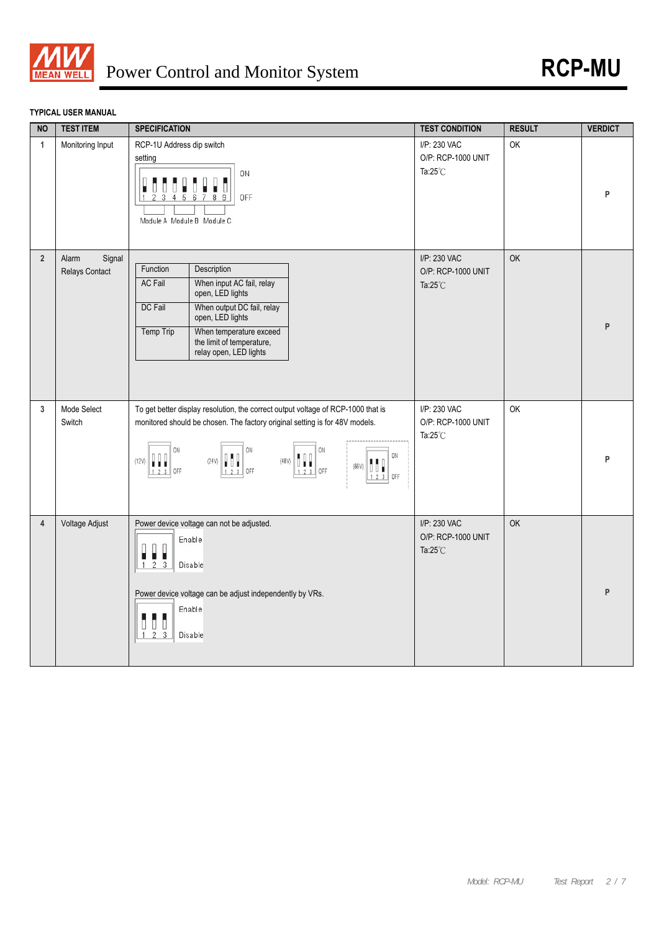

# **TYPICAL USER MANUAL**

| <b>NO</b>      | <b>TEST ITEM</b>                  | <b>SPECIFICATION</b>                                                                                                                                                                                                                                                 | <b>TEST CONDITION</b>                                    | <b>RESULT</b> | <b>VERDICT</b> |
|----------------|-----------------------------------|----------------------------------------------------------------------------------------------------------------------------------------------------------------------------------------------------------------------------------------------------------------------|----------------------------------------------------------|---------------|----------------|
| $\mathbf{1}$   | Monitoring Input                  | RCP-1U Address dip switch<br>setting<br>ON<br>OFF<br>$\overline{1}$<br>5<br>6<br>8<br>Module A Module B Module C                                                                                                                                                     | I/P: 230 VAC<br>O/P: RCP-1000 UNIT<br>Ta: $25^{\circ}$ C | OK            | P              |
| $\overline{2}$ | Alarm<br>Signal<br>Relays Contact | Function<br>Description<br>When input AC fail, relay<br><b>AC Fail</b><br>open, LED lights<br>When output DC fail, relay<br>DC Fail<br>open, LED lights<br>When temperature exceed<br>Temp Trip<br>the limit of temperature,<br>relay open, LED lights               | I/P: 230 VAC<br>O/P: RCP-1000 UNIT<br>Ta: $25^{\circ}$ C | <b>OK</b>     | P              |
| 3              | Mode Select<br>Switch             | To get better display resolution, the correct output voltage of RCP-1000 that is<br>monitored should be chosen. The factory original setting is for 48V models.<br>ON<br>ON<br>ON<br>ON<br>(12V)<br>(48V)<br>(24V)<br>''<br>(66V)<br>UUT<br>OFF<br>OFF<br>OFF<br>OFF | I/P: 230 VAC<br>O/P: RCP-1000 UNIT<br>Ta: $25^{\circ}$ C | OK            | P              |
| $\overline{4}$ | Voltage Adjust                    | Power device voltage can not be adjusted.<br>Enable<br>п<br>$1 \quad 2 \quad 3$<br>Disable<br>Power device voltage can be adjust independently by VRs.<br>Enable<br>d d<br>D<br>$1\quad 2\quad 3$<br>Disable                                                         | I/P: 230 VAC<br>O/P: RCP-1000 UNIT<br>Ta: $25^{\circ}$ C | OK            | P              |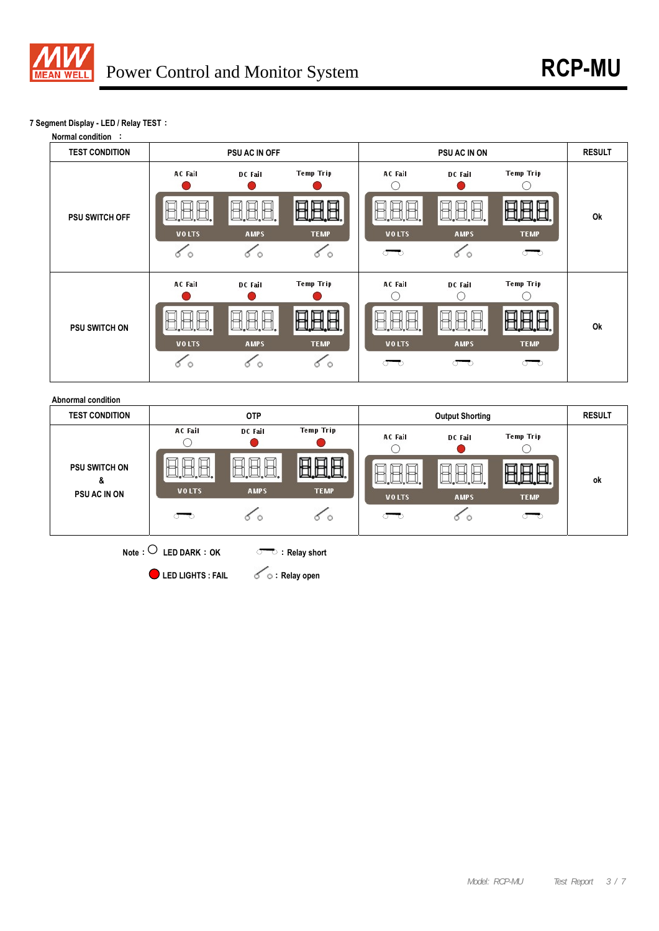

## **7 Segment Display - LED / Relay TEST**:





**•** LED LIGHTS : FAIL  $\leq$   $\circ$  : Relay open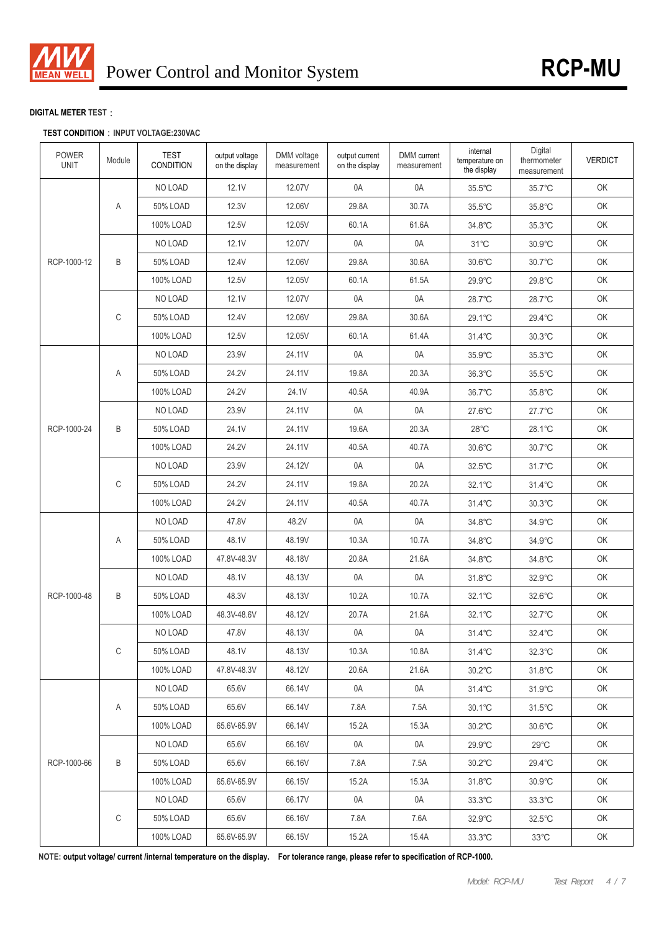

## **DIGITAL METER TEST**:

## **TEST CONDITION**:**INPUT VOLTAGE:230VAC**

| <b>POWER</b><br><b>UNIT</b> | Module | <b>TEST</b><br><b>CONDITION</b> | output voltage<br>on the display | DMM voltage<br>measurement | output current<br>on the display | DMM current<br>measurement | internal<br>temperature on<br>the display | Digital<br>thermometer<br>measurement | <b>VERDICT</b> |
|-----------------------------|--------|---------------------------------|----------------------------------|----------------------------|----------------------------------|----------------------------|-------------------------------------------|---------------------------------------|----------------|
|                             |        | NO LOAD                         | 12.1V                            | 12.07V                     | 0A                               | 0A                         | 35.5°C                                    | 35.7°C                                | OK             |
|                             | Α      | 50% LOAD                        | 12.3V                            | 12.06V                     | 29.8A                            | 30.7A                      | 35.5°C                                    | 35.8°C                                | OK             |
|                             |        | 100% LOAD                       | 12.5V                            | 12.05V                     | 60.1A                            | 61.6A                      | 34.8°C                                    | $35.3^{\circ}$ C                      | OK             |
|                             |        | NO LOAD                         | 12.1V                            | 12.07V                     | 0A                               | 0A                         | $31^{\circ}$ C                            | $30.9^{\circ}$ C                      | OK             |
| RCP-1000-12                 | B      | 50% LOAD                        | 12.4V                            | 12.06V                     | 29.8A                            | 30.6A                      | 30.6°C                                    | 30.7°C                                | OK             |
|                             |        | 100% LOAD                       | 12.5V                            | 12.05V                     | 60.1A                            | 61.5A                      | 29.9°C                                    | 29.8°C                                | OK             |
|                             |        | NO LOAD                         | 12.1V                            | 12.07V                     | 0A                               | 0A                         | 28.7°C                                    | 28.7°C                                | OK             |
|                             | С      | 50% LOAD                        | 12.4V                            | 12.06V                     | 29.8A                            | 30.6A                      | 29.1°C                                    | 29.4°C                                | OK             |
|                             |        | 100% LOAD                       | 12.5V                            | 12.05V                     | 60.1A                            | 61.4A                      | $31.4^{\circ}$ C                          | $30.3^{\circ}$ C                      | OK             |
|                             |        | NO LOAD                         | 23.9V                            | 24.11V                     | 0A                               | 0A                         | $35.9^{\circ}$ C                          | 35.3°C                                | OK             |
|                             | Α      | 50% LOAD                        | 24.2V                            | 24.11V                     | 19.8A                            | 20.3A                      | 36.3°C                                    | 35.5°C                                | OK             |
|                             |        | 100% LOAD                       | 24.2V                            | 24.1V                      | 40.5A                            | 40.9A                      | 36.7°C                                    | 35.8°C                                | OK             |
|                             |        | NO LOAD                         | 23.9V                            | 24.11V                     | 0A                               | 0A                         | $27.6^{\circ}$ C                          | $27.7^{\circ}$ C                      | OK             |
| RCP-1000-24                 | Β      | 50% LOAD                        | 24.1V                            | 24.11V                     | 19.6A                            | 20.3A                      | $28^{\circ}$ C                            | 28.1°C                                | OK             |
|                             |        | 100% LOAD                       | 24.2V                            | 24.11V                     | 40.5A                            | 40.7A                      | 30.6°C                                    | 30.7°C                                | OK             |
|                             |        | NO LOAD                         | 23.9V                            | 24.12V                     | 0A                               | 0A                         | 32.5°C                                    | 31.7°C                                | OK             |
|                             | С      | 50% LOAD                        | 24.2V                            | 24.11V                     | 19.8A                            | 20.2A                      | 32.1°C                                    | 31.4°C                                | OK             |
|                             |        | 100% LOAD                       | 24.2V                            | 24.11V                     | 40.5A                            | 40.7A                      | $31.4^{\circ}$ C                          | $30.3^{\circ}$ C                      | OK             |
|                             |        | NO LOAD                         | 47.8V                            | 48.2V                      | 0A                               | 0A                         | 34.8°C                                    | 34.9°C                                | OK             |
|                             | Α      | 50% LOAD                        | 48.1V                            | 48.19V                     | 10.3A                            | 10.7A                      | 34.8°C                                    | 34.9°C                                | OK             |
|                             |        | 100% LOAD                       | 47.8V-48.3V                      | 48.18V                     | 20.8A                            | 21.6A                      | 34.8°C                                    | 34.8°C                                | OK             |
|                             |        | NO LOAD                         | 48.1V                            | 48.13V                     | 0A                               | 0A                         | 31.8°C                                    | 32.9°C                                | OK             |
| RCP-1000-48                 | Β      | 50% LOAD                        | 48.3V                            | 48.13V                     | 10.2A                            | 10.7A                      | 32.1°C                                    | 32.6°C                                | OK             |
|                             |        | 100% LOAD                       | 48.3V-48.6V                      | 48.12V                     | 20.7A                            | 21.6A                      | 32.1°C                                    | 32.7°C                                | OK             |
|                             |        | NO LOAD                         | 47.8V                            | 48.13V                     | 0A                               | 0A                         | 31.4°C                                    | 32.4°C                                | OK             |
|                             | С      | 50% LOAD                        | 48.1V                            | 48.13V                     | 10.3A                            | 10.8A                      | 31.4°C                                    | 32.3°C                                | OK             |
|                             |        | 100% LOAD                       | 47.8V-48.3V                      | 48.12V                     | 20.6A                            | 21.6A                      | $30.2^{\circ}$ C                          | 31.8°C                                | OK             |
|                             |        | NO LOAD                         | 65.6V                            | 66.14V                     | 0A                               | 0A                         | 31.4°C                                    | $31.9^{\circ}$ C                      | OK             |
|                             | Α      | 50% LOAD                        | 65.6V                            | 66.14V                     | 7.8A                             | 7.5A                       | 30.1°C                                    | $31.5^{\circ}$ C                      | OK             |
|                             |        | 100% LOAD                       | 65.6V-65.9V                      | 66.14V                     | 15.2A                            | 15.3A                      | 30.2°C                                    | 30.6°C                                | OK             |
|                             |        | NO LOAD                         | 65.6V                            | 66.16V                     | 0A                               | 0A                         | 29.9°C                                    | $29^{\circ}$ C                        | OK             |
| RCP-1000-66                 | B      | 50% LOAD                        | 65.6V                            | 66.16V                     | 7.8A                             | 7.5A                       | $30.2^{\circ}$ C                          | 29.4°C                                | OK             |
|                             |        | 100% LOAD                       | 65.6V-65.9V                      | 66.15V                     | 15.2A                            | 15.3A                      | 31.8°C                                    | $30.9^{\circ}$ C                      | OK             |
|                             |        | NO LOAD                         | 65.6V                            | 66.17V                     | 0A                               | 0A                         | $33.3^{\circ}$ C                          | $33.3^{\circ}$ C                      | OK             |
|                             | С      | 50% LOAD                        | 65.6V                            | 66.16V                     | 7.8A                             | 7.6A                       | 32.9°C                                    | $32.5^{\circ}$ C                      | OK             |
|                             |        | 100% LOAD                       | 65.6V-65.9V                      | 66.15V                     | 15.2A                            | 15.4A                      | $33.3^{\circ}$ C                          | $33^{\circ}$ C                        | OK             |

 **NOTE: output voltage/ current /internal temperature on the display. For tolerance range, please refer to specification of RCP-1000.**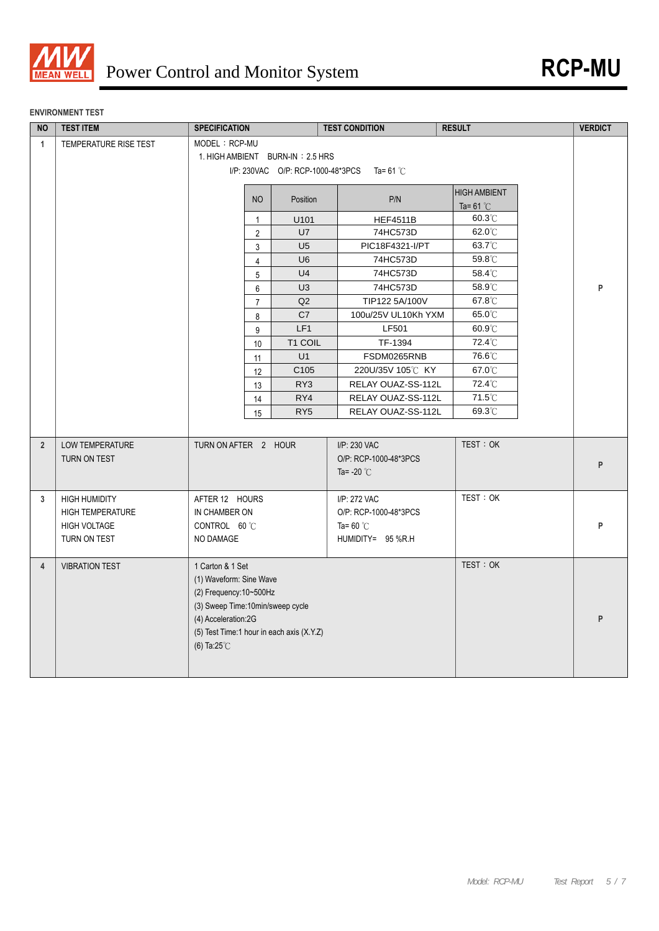

### **ENVIRONMENT TEST**

| <b>NO</b>      | <b>TEST ITEM</b>                                                                       | <b>SPECIFICATION</b>                                                                                                                                                                                     |                                   | <b>TEST CONDITION</b>                                                            | <b>RESULT</b>                             | <b>VERDICT</b> |  |
|----------------|----------------------------------------------------------------------------------------|----------------------------------------------------------------------------------------------------------------------------------------------------------------------------------------------------------|-----------------------------------|----------------------------------------------------------------------------------|-------------------------------------------|----------------|--|
| $\mathbf{1}$   | TEMPERATURE RISE TEST                                                                  | MODEL: RCP-MU<br>1. HIGH AMBIENT BURN-IN: 2.5 HRS                                                                                                                                                        | I/P: 230VAC O/P: RCP-1000-48*3PCS | Ta= 61 $^{\circ}\mathrm{C}$                                                      |                                           |                |  |
|                |                                                                                        | N <sub>O</sub>                                                                                                                                                                                           | Position                          | P/N                                                                              | <b>HIGH AMBIENT</b><br>Ta= $61^{\circ}$ C |                |  |
|                |                                                                                        | $\mathbf{1}$                                                                                                                                                                                             | U101                              | <b>HEF4511B</b>                                                                  | $60.3^{\circ}$ C                          |                |  |
|                |                                                                                        | $\overline{2}$                                                                                                                                                                                           | U7                                | 74HC573D                                                                         | $62.0^{\circ}$ C                          |                |  |
|                |                                                                                        | 3                                                                                                                                                                                                        | U <sub>5</sub>                    | PIC18F4321-I/PT                                                                  | 63.7°C                                    |                |  |
|                |                                                                                        | $\overline{4}$                                                                                                                                                                                           | U <sub>6</sub>                    | 74HC573D                                                                         | 59.8°C                                    |                |  |
|                |                                                                                        | 5                                                                                                                                                                                                        | U <sub>4</sub>                    | 74HC573D                                                                         | 58.4°C                                    |                |  |
|                |                                                                                        | 6                                                                                                                                                                                                        | U <sub>3</sub>                    | 74HC573D                                                                         | 58.9°C                                    | P              |  |
|                |                                                                                        | $\overline{7}$                                                                                                                                                                                           | Q2                                | TIP122 5A/100V                                                                   | 67.8°C                                    |                |  |
|                |                                                                                        | 8                                                                                                                                                                                                        | C7                                | 100u/25V UL10Kh YXM                                                              | 65.0°C                                    |                |  |
|                |                                                                                        | 9                                                                                                                                                                                                        | LF1                               | <b>LF501</b>                                                                     | 60.9°C                                    |                |  |
|                |                                                                                        | 10                                                                                                                                                                                                       | T1 COIL                           | TF-1394                                                                          | 72.4°C                                    |                |  |
|                |                                                                                        | 11                                                                                                                                                                                                       | U1                                | FSDM0265RNB                                                                      | 76.6°C                                    |                |  |
|                |                                                                                        | 12                                                                                                                                                                                                       | C105                              | 220U/35V 105℃ KY                                                                 | 67.0°C                                    |                |  |
|                |                                                                                        | 13                                                                                                                                                                                                       | RY3                               | RELAY OUAZ-SS-112L                                                               | 72.4°C                                    |                |  |
|                |                                                                                        | 14                                                                                                                                                                                                       | RY4                               | RELAY OUAZ-SS-112L                                                               | $71.5^{\circ}$ C                          |                |  |
|                |                                                                                        | 15                                                                                                                                                                                                       | RY <sub>5</sub>                   | RELAY OUAZ-SS-112L                                                               | 69.3°C                                    |                |  |
|                |                                                                                        |                                                                                                                                                                                                          |                                   |                                                                                  |                                           |                |  |
| $\overline{2}$ | <b>LOW TEMPERATURE</b><br>TURN ON TEST                                                 | TURN ON AFTER 2 HOUR                                                                                                                                                                                     |                                   | I/P: 230 VAC<br>O/P: RCP-1000-48*3PCS<br>Ta= $-20^{\circ}$ C                     | TEST: OK                                  | ${\sf P}$      |  |
| 3              | <b>HIGH HUMIDITY</b><br><b>HIGH TEMPERATURE</b><br><b>HIGH VOLTAGE</b><br>TURN ON TEST | AFTER 12 HOURS<br>IN CHAMBER ON<br>CONTROL 60 °C<br>NO DAMAGE                                                                                                                                            |                                   | I/P: 272 VAC<br>O/P: RCP-1000-48*3PCS<br>Ta= $60^{\circ}$ C<br>HUMIDITY= 95 %R.H | TEST: OK                                  | P              |  |
| $\overline{4}$ | <b>VIBRATION TEST</b>                                                                  | 1 Carton & 1 Set<br>(1) Waveform: Sine Wave<br>(2) Frequency: 10~500Hz<br>(3) Sweep Time:10min/sweep cycle<br>(4) Acceleration:2G<br>(5) Test Time:1 hour in each axis (X.Y.Z)<br>(6) Ta: $25^{\circ}$ C |                                   |                                                                                  | TEST: OK                                  | P              |  |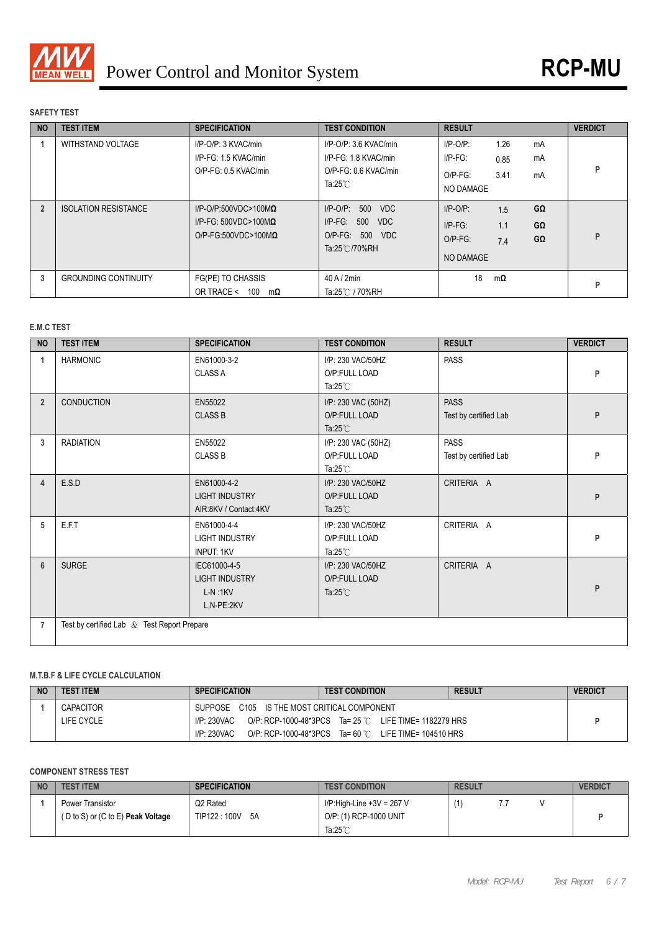

## **SAFETY TEST**

| <b>NO</b> | <b>TEST ITEM</b>            | <b>SPECIFICATION</b>                                                                               | <b>TEST CONDITION</b>                                                                       | <b>RESULT</b>                                                                                             | <b>VERDICT</b> |
|-----------|-----------------------------|----------------------------------------------------------------------------------------------------|---------------------------------------------------------------------------------------------|-----------------------------------------------------------------------------------------------------------|----------------|
|           | <b>WITHSTAND VOLTAGE</b>    | I/P-O/P: 3 KVAC/min<br>I/P-FG: 1.5 KVAC/min<br>O/P-FG: 0.5 KVAC/min                                | I/P-O/P: 3.6 KVAC/min<br>I/P-FG: 1.8 KVAC/min<br>O/P-FG: 0.6 KVAC/min<br>Ta: $25^{\circ}$ C | 1.26<br>$I/P$ -O/P:<br>mA<br>$I/P-FG$ :<br>mA<br>0.85<br>3.41<br>$O/P-FG$ :<br>mA<br>NO DAMAGE            | Þ              |
|           | <b>ISOLATION RESISTANCE</b> | $I/P$ -O/P:500VDC>100M $\Omega$<br>$I/P-FG: 500VDC > 100M\Omega$<br>$O/P$ -FG:500VDC>100M $\Omega$ | $I/P$ -O/P: 500<br><b>VDC</b><br>$I/P$ -FG: 500 VDC<br>O/P-FG: 500 VDC<br>Ta:25℃/70%RH      | $I/P-O/P$ :<br>GΩ<br>1.5<br>$G\Omega$<br>$I/P-FG$ :<br>1.1<br>$O/P-FG$ :<br>GΩ<br>7.4<br><b>NO DAMAGE</b> | P              |
| 3         | <b>GROUNDING CONTINUITY</b> | FG(PE) TO CHASSIS<br>OR TRACE <<br>100<br>$m\Omega$                                                | $40$ A / $2$ min<br>Ta:25℃ / 70%RH                                                          | 18<br>$m\Omega$                                                                                           | Þ              |

# **E.M.C TEST**

| <b>NO</b>      | <b>TEST ITEM</b>                               | <b>SPECIFICATION</b>                                             | <b>TEST CONDITION</b>                                      | <b>RESULT</b>                        | <b>VERDICT</b> |
|----------------|------------------------------------------------|------------------------------------------------------------------|------------------------------------------------------------|--------------------------------------|----------------|
| 1              | <b>HARMONIC</b>                                | EN61000-3-2<br><b>CLASS A</b>                                    | I/P: 230 VAC/50HZ<br>O/P:FULL LOAD<br>Ta: $25^{\circ}$ C   | <b>PASS</b>                          | P              |
| $\overline{2}$ | <b>CONDUCTION</b>                              | EN55022<br><b>CLASS B</b>                                        | I/P: 230 VAC (50HZ)<br>O/P:FULL LOAD<br>Ta: $25^{\circ}$ C | <b>PASS</b><br>Test by certified Lab | P              |
| 3              | <b>RADIATION</b>                               | EN55022<br><b>CLASS B</b>                                        | I/P: 230 VAC (50HZ)<br>O/P:FULL LOAD<br>Ta: $25^{\circ}$ C | <b>PASS</b><br>Test by certified Lab | P              |
| 4              | E.S.D                                          | EN61000-4-2<br><b>LIGHT INDUSTRY</b><br>AIR:8KV / Contact:4KV    | I/P: 230 VAC/50HZ<br>O/P:FULL LOAD<br>Ta: $25^{\circ}$ C   | CRITERIA A                           | P              |
| 5              | E.F.T                                          | EN61000-4-4<br><b>LIGHT INDUSTRY</b><br><b>INPUT: 1KV</b>        | I/P: 230 VAC/50HZ<br>O/P:FULL LOAD<br>Ta: $25^{\circ}$ C   | CRITERIA A                           | P              |
| 6              | <b>SURGE</b>                                   | IEC61000-4-5<br><b>LIGHT INDUSTRY</b><br>$L-N:1KV$<br>L,N-PE:2KV | I/P: 230 VAC/50HZ<br>O/P:FULL LOAD<br>Ta: $25^{\circ}$ C   | CRITERIA A                           | P              |
| $\overline{7}$ | Test by certified Lab $\&$ Test Report Prepare |                                                                  |                                                            |                                      |                |

# **M.T.B.F & LIFE CYCLE CALCULATION**

| <b>NO</b> | <b>TEST ITEM</b> | <b>SPECIFICATION</b>                        | <b>TEST CONDITION</b>                                  | <b>RESULT</b> | <b>VERDICT</b> |
|-----------|------------------|---------------------------------------------|--------------------------------------------------------|---------------|----------------|
|           | <b>CAPACITOR</b> | SUPPOSE C105 IS THE MOST CRITICAL COMPONENT |                                                        |               |                |
|           | LIFE CYCLE       | I/P: 230VAC                                 | O/P: RCP-1000-48*3PCS Ta= 25 °C LIFE TIME= 1182279 HRS |               |                |
|           |                  | I/P: 230VAC                                 | O/P: RCP-1000-48*3PCS Ta= 60 °C LIFE TIME= 104510 HRS  |               |                |

# **COMPONENT STRESS TEST**

| <b>NO</b> | <b>TEST ITEM</b>                                                                   | <b>SPECIFICATION</b>       | <b>TEST CONDITION</b>                               | <b>RESULT</b> |   | <b>VERDICT</b> |
|-----------|------------------------------------------------------------------------------------|----------------------------|-----------------------------------------------------|---------------|---|----------------|
|           | Power Transistor<br>$(D \text{ to } S)$ or $(C \text{ to } E)$ <b>Peak Voltage</b> | Q2 Rated<br>TIP122:100V 5A | I/P:High-Line +3V = 267 V<br>O/P: (1) RCP-1000 UNIT |               | . |                |
|           |                                                                                    |                            | Ta: $25^\circ$ C                                    |               |   |                |